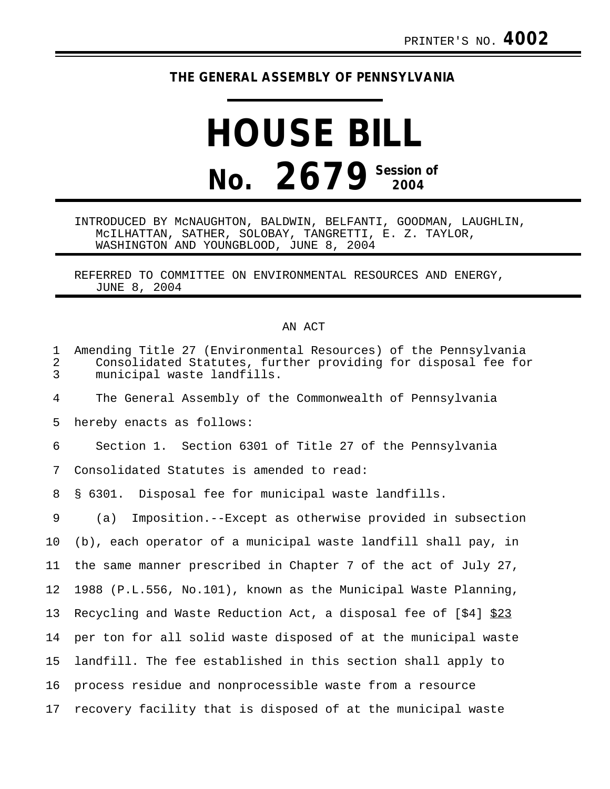## **THE GENERAL ASSEMBLY OF PENNSYLVANIA**

## **HOUSE BILL No. 2679 Session of 2004**

INTRODUCED BY McNAUGHTON, BALDWIN, BELFANTI, GOODMAN, LAUGHLIN, McILHATTAN, SATHER, SOLOBAY, TANGRETTI, E. Z. TAYLOR, WASHINGTON AND YOUNGBLOOD, JUNE 8, 2004

REFERRED TO COMMITTEE ON ENVIRONMENTAL RESOURCES AND ENERGY, JUNE 8, 2004

## AN ACT

| $\mathbf 1$<br>$\overline{a}$<br>$\overline{3}$ | Amending Title 27 (Environmental Resources) of the Pennsylvania<br>Consolidated Statutes, further providing for disposal fee for<br>municipal waste landfills. |
|-------------------------------------------------|----------------------------------------------------------------------------------------------------------------------------------------------------------------|
| 4                                               | The General Assembly of the Commonwealth of Pennsylvania                                                                                                       |
| 5                                               | hereby enacts as follows:                                                                                                                                      |
| 6                                               | Section 1. Section 6301 of Title 27 of the Pennsylvania                                                                                                        |
| 7                                               | Consolidated Statutes is amended to read:                                                                                                                      |
| 8                                               | § 6301. Disposal fee for municipal waste landfills.                                                                                                            |
| 9                                               | Imposition.--Except as otherwise provided in subsection<br>(a)                                                                                                 |
| 10                                              | (b), each operator of a municipal waste landfill shall pay, in                                                                                                 |
| 11                                              | the same manner prescribed in Chapter 7 of the act of July 27,                                                                                                 |
| 12                                              | 1988 (P.L.556, No.101), known as the Municipal Waste Planning,                                                                                                 |
| 13                                              | Recycling and Waste Reduction Act, a disposal fee of [\$4] \$23                                                                                                |
| 14                                              | per ton for all solid waste disposed of at the municipal waste                                                                                                 |
| 15                                              | landfill. The fee established in this section shall apply to                                                                                                   |
| 16                                              | process residue and nonprocessible waste from a resource                                                                                                       |
| 17                                              | recovery facility that is disposed of at the municipal waste                                                                                                   |